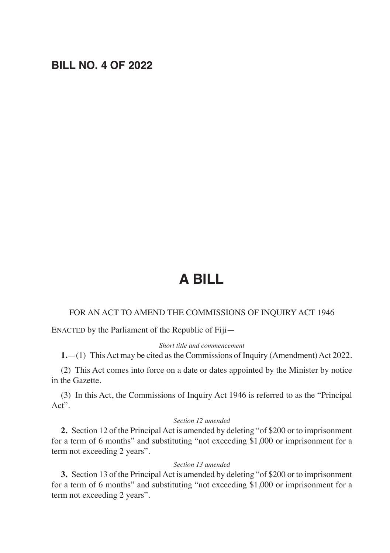# **BILL NO. 4 OF 2022**

# **A BILL**

#### FOR AN ACT TO AMEND THE COMMISSIONS OF INQUIRY ACT 1946

ENACTED by the Parliament of the Republic of Fiji—

#### *Short title and commencement*

**1.**—(1) This Act may be cited as the Commissions of Inquiry (Amendment) Act 2022.

(2) This Act comes into force on a date or dates appointed by the Minister by notice in the Gazette.

(3) In this Act, the Commissions of Inquiry Act 1946 is referred to as the "Principal Act".

### *Section 12 amended*

**2.** Section 12 of the Principal Act is amended by deleting "of \$200 or to imprisonment for a term of 6 months" and substituting "not exceeding \$1,000 or imprisonment for a term not exceeding 2 years".

#### *Section 13 amended*

**3.** Section 13 of the Principal Act is amended by deleting "of \$200 or to imprisonment for a term of 6 months" and substituting "not exceeding \$1,000 or imprisonment for a term not exceeding 2 years".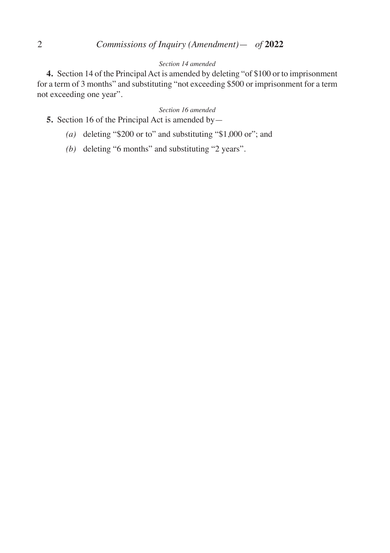# 2 *Commissions of Inquiry (Amendment)*— *of* **2022**

## *Section 14 amended*

**4.** Section 14 of the Principal Act is amended by deleting "of \$100 or to imprisonment for a term of 3 months" and substituting "not exceeding \$500 or imprisonment for a term not exceeding one year".

#### *Section 16 amended*

- **5.** Section 16 of the Principal Act is amended by
	- *(a)* deleting "\$200 or to" and substituting "\$1,000 or"; and
	- *(b)* deleting "6 months" and substituting "2 years".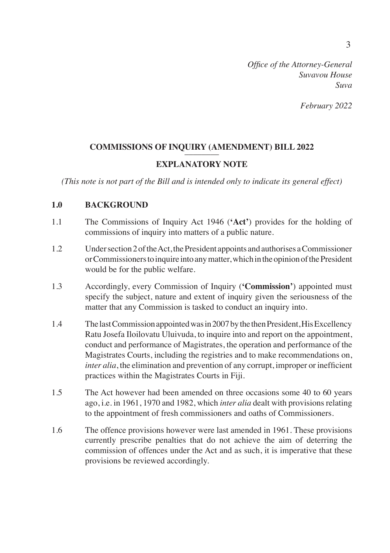*February 2022*

## COMMISSIONS OF INQUIRY (AMENDMENT) BILL 2022

## **EXPLANATORY NOTE**

*(This note is not part of the Bill and is intended only to indicate its general effect)*

## **1.0 BACKGROUND**

- 1.1 The Commissions of Inquiry Act 1946 (**'Act'**) provides for the holding of commissions of inquiry into matters of a public nature.
- 1.2 Under section 2 of the Act, the President appoints and authorises a Commissioner or Commissioners to inquire into any matter, which in the opinion of the President would be for the public welfare.
- 1.3 Accordingly, every Commission of Inquiry (**'Commission'**) appointed must specify the subject, nature and extent of inquiry given the seriousness of the matter that any Commission is tasked to conduct an inquiry into.
- 1.4 The last Commission appointed was in 2007 by the then President, His Excellency Ratu Josefa Iloilovatu Uluivuda, to inquire into and report on the appointment, conduct and performance of Magistrates, the operation and performance of the Magistrates Courts, including the registries and to make recommendations on, *inter alia*, the elimination and prevention of any corrupt, improper or inefficient practices within the Magistrates Courts in Fiji.
- 1.5 The Act however had been amended on three occasions some 40 to 60 years ago, i.e. in 1961, 1970 and 1982, which *inter alia* dealt with provisions relating to the appointment of fresh commissioners and oaths of Commissioners.
- 1.6 The offence provisions however were last amended in 1961. These provisions currently prescribe penalties that do not achieve the aim of deterring the commission of offences under the Act and as such, it is imperative that these provisions be reviewed accordingly.